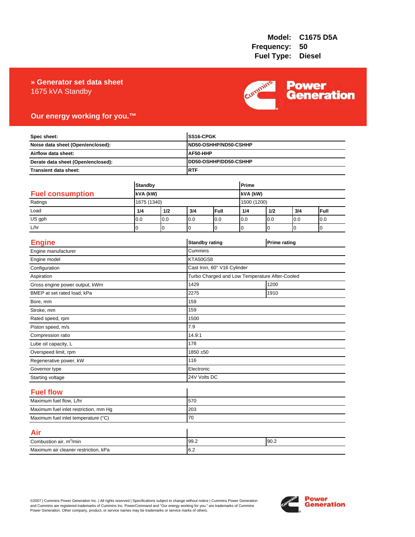### **» Generator set data sheet** 1675 kVA Standby



## **Our energy working for you.™**

| Spec sheet:<br>Noise data sheet (Open/enclosed):<br>Airflow data sheet:<br>Derate data sheet (Open/enclosed): |                |          |                       | SS16-CPGK<br>ND50-OSHHP/ND50-CSHHP<br>AF50-HHP<br>DD50-OSHHP/DD50-CSHHP<br><b>RTF</b> |             |                     |                |                |  |
|---------------------------------------------------------------------------------------------------------------|----------------|----------|-----------------------|---------------------------------------------------------------------------------------|-------------|---------------------|----------------|----------------|--|
|                                                                                                               |                |          |                       |                                                                                       |             |                     |                |                |  |
|                                                                                                               |                |          |                       |                                                                                       |             |                     |                |                |  |
|                                                                                                               |                |          |                       |                                                                                       |             |                     |                |                |  |
| Transient data sheet:                                                                                         |                |          |                       |                                                                                       |             |                     |                |                |  |
|                                                                                                               |                |          |                       |                                                                                       |             |                     |                |                |  |
|                                                                                                               | <b>Standby</b> |          |                       | Prime                                                                                 |             |                     |                |                |  |
| <b>Fuel consumption</b>                                                                                       | kVA (kW)       |          |                       |                                                                                       |             | kVA (kW)            |                |                |  |
| Ratings                                                                                                       | 1675 (1340)    |          |                       |                                                                                       |             | 1500 (1200)         |                |                |  |
| Load                                                                                                          | 1/4            | 1/2      | 3/4                   | Full                                                                                  | 1/4         | 1/2                 | 3/4            | Full           |  |
| US gph                                                                                                        | 0.0            | 0.0      | 0.0                   | 0.0                                                                                   | 0.0         | 0.0                 | 0.0            | 0.0            |  |
| L/hr                                                                                                          | $\overline{0}$ | $\Omega$ | $\Omega$              | $\overline{0}$                                                                        | $\mathbf 0$ | 0                   | $\overline{0}$ | $\overline{0}$ |  |
| <b>Engine</b>                                                                                                 |                |          | <b>Standby rating</b> |                                                                                       |             | <b>Prime rating</b> |                |                |  |
| Engine manufacturer                                                                                           |                |          | Cummins               |                                                                                       |             |                     |                |                |  |
| Engine model                                                                                                  |                |          |                       | KTA50GS8                                                                              |             |                     |                |                |  |
| Configuration                                                                                                 |                |          |                       | Cast Iron, 60° V16 Cylinder                                                           |             |                     |                |                |  |
| Aspiration                                                                                                    |                |          |                       | Turbo Charged and Low Temperature After-Cooled                                        |             |                     |                |                |  |
| Gross engine power output, kWm                                                                                |                |          | 1429                  | 1200                                                                                  |             |                     |                |                |  |
| BMEP at set rated load, kPa                                                                                   |                |          | 2275                  | 1910                                                                                  |             |                     |                |                |  |
| Bore, mm                                                                                                      |                |          | 159                   |                                                                                       |             |                     |                |                |  |
| Stroke, mm                                                                                                    |                |          | 159                   |                                                                                       |             |                     |                |                |  |
| Rated speed, rpm                                                                                              |                |          | 1500                  |                                                                                       |             |                     |                |                |  |
| Piston speed, m/s                                                                                             |                |          | 7.9                   |                                                                                       |             |                     |                |                |  |
| Compression ratio                                                                                             |                |          | 14.9:1                |                                                                                       |             |                     |                |                |  |
| Lube oil capacity, L                                                                                          |                |          | 178                   |                                                                                       |             |                     |                |                |  |
| Overspeed limit, rpm                                                                                          |                |          |                       | 1850 ±50                                                                              |             |                     |                |                |  |
| Regenerative power, kW                                                                                        |                |          | 116                   |                                                                                       |             |                     |                |                |  |
| Governor type                                                                                                 |                |          |                       | Electronic                                                                            |             |                     |                |                |  |
| Starting voltage                                                                                              |                |          |                       | 24V Volts DC                                                                          |             |                     |                |                |  |
| <b>Fuel flow</b>                                                                                              |                |          |                       |                                                                                       |             |                     |                |                |  |
| Maximum fuel flow, L/hr                                                                                       |                |          | 570                   |                                                                                       |             |                     |                |                |  |
| Maximum fuel inlet restriction, mm Hg                                                                         |                |          | 203                   |                                                                                       |             |                     |                |                |  |
| Maximum fuel inlet temperature (°C)                                                                           |                |          | 70                    |                                                                                       |             |                     |                |                |  |
| Air                                                                                                           |                |          |                       |                                                                                       |             |                     |                |                |  |
| Combustion air, m <sup>3</sup> /min                                                                           |                |          | 99.2                  | 90.2                                                                                  |             |                     |                |                |  |
| Maximum air cleaner restriction, kPa                                                                          |                |          | 6.2                   |                                                                                       |             |                     |                |                |  |

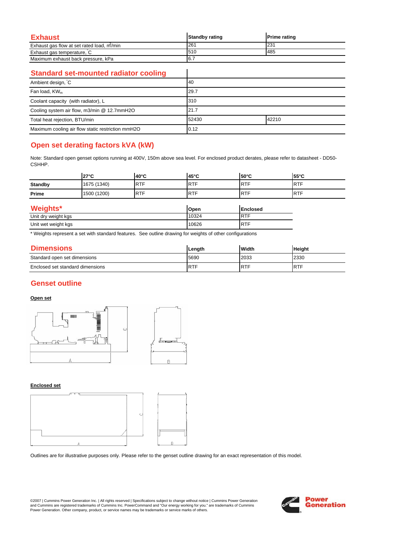| Exhaust                                   | <b>Standby rating</b> | <b>Prime rating</b> |
|-------------------------------------------|-----------------------|---------------------|
| Exhaust gas flow at set rated load, m/min | 26'                   | 231                 |
| Exhaust gas temperature, C                | 510                   | 485                 |
| Maximum exhaust back pressure, kPa        | 6.7                   |                     |

 $\overline{\phantom{a}}$ 

### **Standard set-mounted radiator cooling**

| Ambient design, C                                 | 40             |  |
|---------------------------------------------------|----------------|--|
| Fan load, KW <sub>m</sub>                         | 29.7           |  |
| Coolant capacity (with radiator), L               | 310            |  |
| Cooling system air flow, m3/min @ 12.7mmH2O       | 21.7           |  |
| Total heat rejection, BTU/min                     | 42210<br>52430 |  |
| Maximum cooling air flow static restriction mmH2O | 0.12           |  |

# **Open set derating factors kVA (kW)**

Note: Standard open genset options running at 400V, 150m above sea level. For enclosed product derates, please refer to datasheet - DD50- CSHHP.

|                     | $27^{\circ}$ C | $40^{\circ}$ C | 45°C       | $50^{\circ}$ C  | 55°C       |  |
|---------------------|----------------|----------------|------------|-----------------|------------|--|
| <b>Standby</b>      | 1675 (1340)    | <b>RTF</b>     | <b>RTF</b> | <b>RTF</b>      | <b>RTF</b> |  |
| Prime               | 1500 (1200)    | <b>RTF</b>     | <b>RTF</b> | <b>RTF</b>      | <b>RTF</b> |  |
| <b>Weights*</b>     |                |                | Open       | <b>Enclosed</b> |            |  |
| Unit dry weight kgs |                |                | 10324      | <b>RTF</b>      |            |  |
| Unit wet weight kgs |                |                | 10626      | <b>RTF</b>      |            |  |

\* Weights represent a set with standard features. See outline drawing for weights of other configurations

| <b>Dimensions</b>                | Length      | Width      | <b>Height</b> |
|----------------------------------|-------------|------------|---------------|
| Standard open set dimensions     | 5690        | 2033       | 2330          |
| Enclosed set standard dimensions | <b>IRTF</b> | <b>RTF</b> | <b>IRTF</b>   |

# **Genset outline**

#### **Open set**



#### **Enclosed set**



Outlines are for illustrative purposes only. Please refer to the genset outline drawing for an exact representation of this model.

©2007 | Cummins Power Generation Inc. | All rights reserved | Specifications subject to change without notice | Cummins Power Generation and Cummins are registered trademarks of Cummins Inc. PowerCommand and "Our energy working for you." are trademarks of Cummins<br>Power Generation. Other company, product, or service names may be trademarks or service marks o